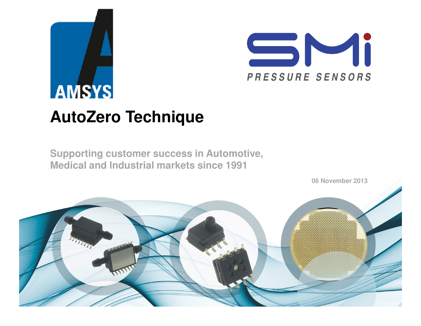# **AMSYS AutoZero Technique**

**Supporting customer success in Automotive, Medical and Industrial markets since 1991**



SMi

PRESSURE SENSORS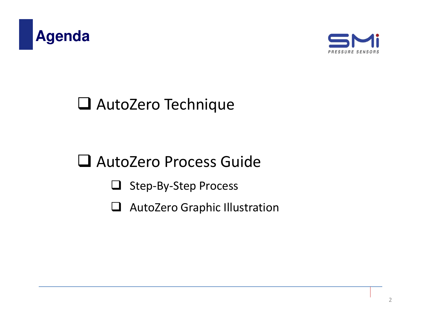



## AutoZero Technique

## AutoZero Process Guide

- □ Step-By-Step Process
- AutoZero Graphic Illustration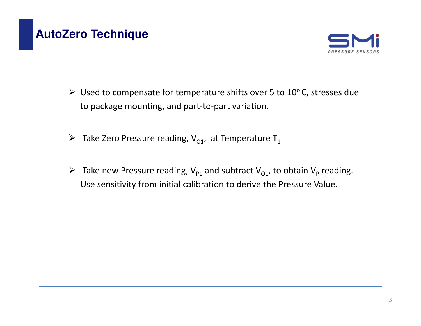### **AutoZero Technique**



- ► Used to compensate for temperature shifts over 5 to 10°C, stresses due to package mounting, and part-to-part variation.
- $\triangleright$  Take Zero Pressure reading, V<sub>01</sub>, at Temperature T<sub>1</sub>
- Fake new Pressure reading,  $V_{p_1}$  and subtract  $V_{q_1}$ , to obtain  $V_p$  reading. Use sensitivity from initial calibration to derive the Pressure Value.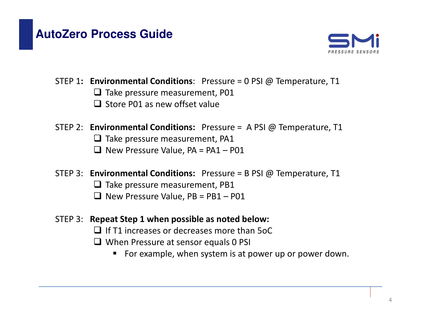#### **AutoZero Process Guide**



- STEP 1: Environmental Conditions: Pressure =  $0$  PSI @ Temperature, T1
	- $\Box$  Take pressure measurement, P01  $\Box$  Store P01 as new offset value
- STEP 2: Environmental Conditions: Pressure = A PSI @ Temperature, T1
	- $\square$  Take pressure measurement, PA1
	- $\Box$  New Pressure Value, PA = PA1 P01
- STEP 3: **Environmental Conditions:** Pressure = B PSI @ Temperature, T1
	- $\square$  Take pressure measurement, PB1
	- $\Box$  New Pressure Value, PB = PB1 P01
- STEP 3: Repeat Step 1 when possible as noted below:
	- $\Box$  If T1 increases or decreases more than 5oC
	- $\Box$  When Pressure at sensor equals 0 PSI
		- $\blacksquare$  For example, when system is at power up or power down.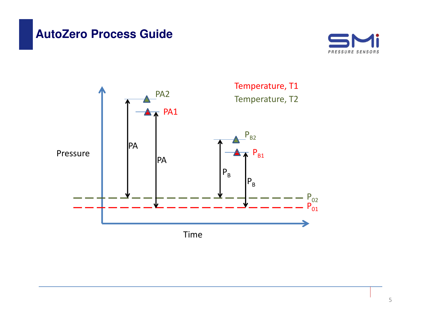#### **AutoZero Process Guide**